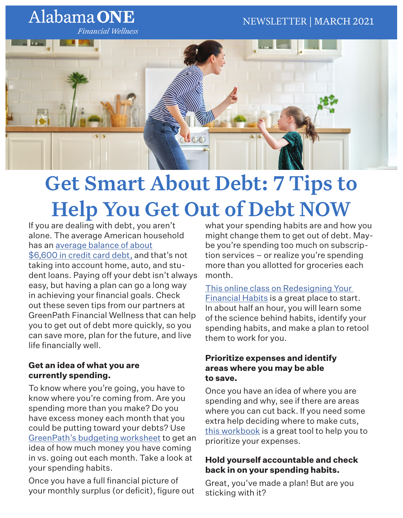# Alabama ONE

**Financial Wellness** 



# Get Smart About Debt: 7 Tips to Help You Get Out of Debt NOW

If you are dealing with debt, you aren't alone. The average American household has an average balance of about \$6,600 in credit card debt, and that's not taking into account home, auto, and student loans. Paying off your debt isn't always easy, but having a plan can go a long way in achieving your financial goals. Check out these seven tips from our partners at GreenPath Financial Wellness that can help you to get out of debt more quickly, so you can save more, plan for the future, and live

## **Get an idea of what you are currently spending.**

life financially well.

To know where you're going, you have to know where you're coming from. Are you spending more than you make? Do you have excess money each month that you could be putting toward your debts? Use GreenPath's budgeting worksheet to get an idea of how much money you have coming in vs. going out each month. Take a look at your spending habits.

Once you have a full financial picture of your monthly surplus (or deficit), figure out what your spending habits are and how you might change them to get out of debt. Maybe you're spending too much on subscription services – or realize you're spending more than you allotted for groceries each month.

#### This online class on Redesigning Your Financial Habits is a great place to start. In about half an hour, you will learn some of the science behind habits, identify your spending habits, and make a plan to retool them to work for you.

#### **Prioritize expenses and identify areas where you may be able to save.**

Once you have an idea of where you are spending and why, see if there are areas where you can cut back. If you need some extra help deciding where to make cuts, this workbook is a great tool to help you to prioritize your expenses.

## **Hold yourself accountable and check back in on your spending habits.**

Great, you've made a plan! But are you sticking with it?